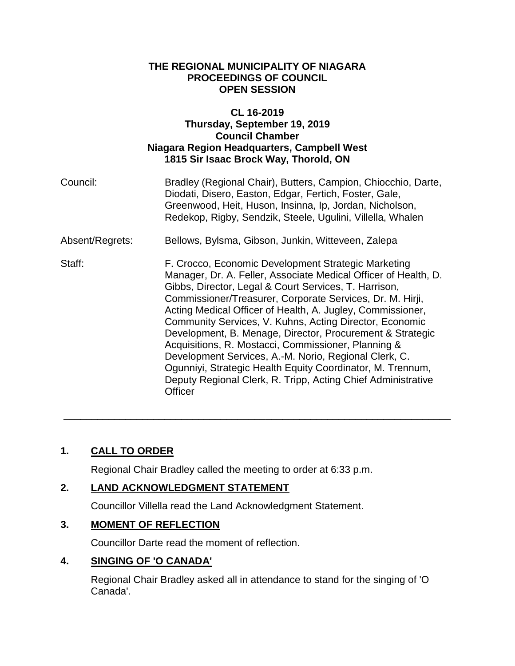#### **THE REGIONAL MUNICIPALITY OF NIAGARA PROCEEDINGS OF COUNCIL OPEN SESSION**

### **CL 16-2019 Thursday, September 19, 2019 Council Chamber Niagara Region Headquarters, Campbell West 1815 Sir Isaac Brock Way, Thorold, ON**

| Council:        | Bradley (Regional Chair), Butters, Campion, Chiocchio, Darte,<br>Diodati, Disero, Easton, Edgar, Fertich, Foster, Gale,<br>Greenwood, Heit, Huson, Insinna, Ip, Jordan, Nicholson,<br>Redekop, Rigby, Sendzik, Steele, Ugulini, Villella, Whalen                                                                                                                                                                                                                                                                                                                                                                                                                                            |
|-----------------|---------------------------------------------------------------------------------------------------------------------------------------------------------------------------------------------------------------------------------------------------------------------------------------------------------------------------------------------------------------------------------------------------------------------------------------------------------------------------------------------------------------------------------------------------------------------------------------------------------------------------------------------------------------------------------------------|
| Absent/Regrets: | Bellows, Bylsma, Gibson, Junkin, Witteveen, Zalepa                                                                                                                                                                                                                                                                                                                                                                                                                                                                                                                                                                                                                                          |
| Staff:          | F. Crocco, Economic Development Strategic Marketing<br>Manager, Dr. A. Feller, Associate Medical Officer of Health, D.<br>Gibbs, Director, Legal & Court Services, T. Harrison,<br>Commissioner/Treasurer, Corporate Services, Dr. M. Hirji,<br>Acting Medical Officer of Health, A. Jugley, Commissioner,<br>Community Services, V. Kuhns, Acting Director, Economic<br>Development, B. Menage, Director, Procurement & Strategic<br>Acquisitions, R. Mostacci, Commissioner, Planning &<br>Development Services, A.-M. Norio, Regional Clerk, C.<br>Ogunniyi, Strategic Health Equity Coordinator, M. Trennum,<br>Deputy Regional Clerk, R. Tripp, Acting Chief Administrative<br>Officer |

\_\_\_\_\_\_\_\_\_\_\_\_\_\_\_\_\_\_\_\_\_\_\_\_\_\_\_\_\_\_\_\_\_\_\_\_\_\_\_\_\_\_\_\_\_\_\_\_\_\_\_\_\_\_\_\_\_\_\_\_\_\_\_\_\_\_\_\_\_

# **1. CALL TO ORDER**

Regional Chair Bradley called the meeting to order at 6:33 p.m.

## **2. LAND ACKNOWLEDGMENT STATEMENT**

Councillor Villella read the Land Acknowledgment Statement.

## **3. MOMENT OF REFLECTION**

Councillor Darte read the moment of reflection.

## **4. SINGING OF 'O CANADA'**

Regional Chair Bradley asked all in attendance to stand for the singing of 'O Canada'.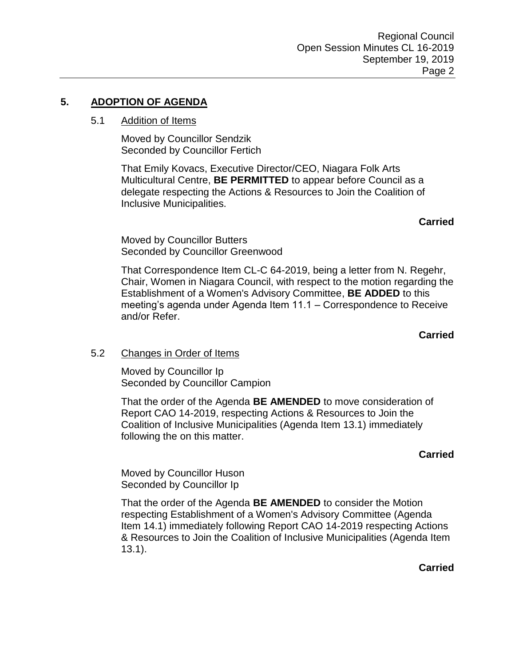# **5. ADOPTION OF AGENDA**

## 5.1 Addition of Items

Moved by Councillor Sendzik Seconded by Councillor Fertich

That Emily Kovacs, Executive Director/CEO, Niagara Folk Arts Multicultural Centre, **BE PERMITTED** to appear before Council as a delegate respecting the Actions & Resources to Join the Coalition of Inclusive Municipalities.

**Carried**

Moved by Councillor Butters Seconded by Councillor Greenwood

That Correspondence Item CL-C 64-2019, being a letter from N. Regehr, Chair, Women in Niagara Council, with respect to the motion regarding the Establishment of a Women's Advisory Committee, **BE ADDED** to this meeting's agenda under Agenda Item 11.1 – Correspondence to Receive and/or Refer.

**Carried**

## 5.2 Changes in Order of Items

Moved by Councillor Ip Seconded by Councillor Campion

That the order of the Agenda **BE AMENDED** to move consideration of Report CAO 14-2019, respecting Actions & Resources to Join the Coalition of Inclusive Municipalities (Agenda Item 13.1) immediately following the on this matter.

#### **Carried**

Moved by Councillor Huson Seconded by Councillor Ip

That the order of the Agenda **BE AMENDED** to consider the Motion respecting Establishment of a Women's Advisory Committee (Agenda Item 14.1) immediately following Report CAO 14-2019 respecting Actions & Resources to Join the Coalition of Inclusive Municipalities (Agenda Item 13.1).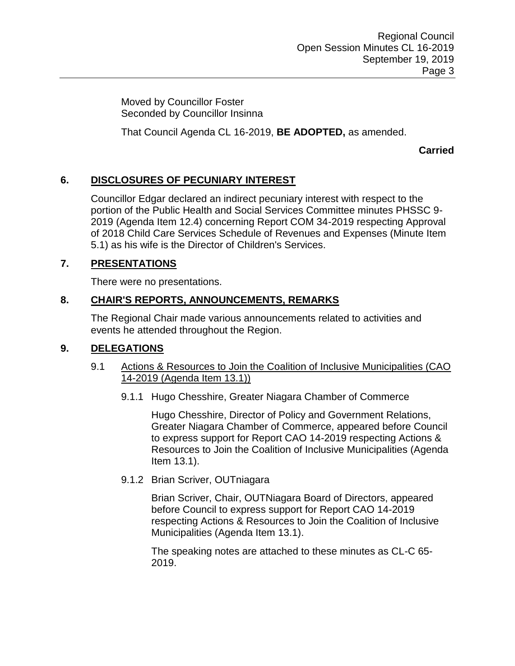Moved by Councillor Foster Seconded by Councillor Insinna

That Council Agenda CL 16-2019, **BE ADOPTED,** as amended.

**Carried**

## **6. DISCLOSURES OF PECUNIARY INTEREST**

Councillor Edgar declared an indirect pecuniary interest with respect to the portion of the Public Health and Social Services Committee minutes PHSSC 9- 2019 (Agenda Item 12.4) concerning Report COM 34-2019 respecting Approval of 2018 Child Care Services Schedule of Revenues and Expenses (Minute Item 5.1) as his wife is the Director of Children's Services.

## **7. PRESENTATIONS**

There were no presentations.

## **8. CHAIR'S REPORTS, ANNOUNCEMENTS, REMARKS**

The Regional Chair made various announcements related to activities and events he attended throughout the Region.

#### **9. DELEGATIONS**

- 9.1 Actions & Resources to Join the Coalition of Inclusive Municipalities (CAO 14-2019 (Agenda Item 13.1))
	- 9.1.1 Hugo Chesshire, Greater Niagara Chamber of Commerce

Hugo Chesshire, Director of Policy and Government Relations, Greater Niagara Chamber of Commerce, appeared before Council to express support for Report CAO 14-2019 respecting Actions & Resources to Join the Coalition of Inclusive Municipalities (Agenda Item 13.1).

#### 9.1.2 Brian Scriver, OUTniagara

Brian Scriver, Chair, OUTNiagara Board of Directors, appeared before Council to express support for Report CAO 14-2019 respecting Actions & Resources to Join the Coalition of Inclusive Municipalities (Agenda Item 13.1).

The speaking notes are attached to these minutes as CL-C 65- 2019.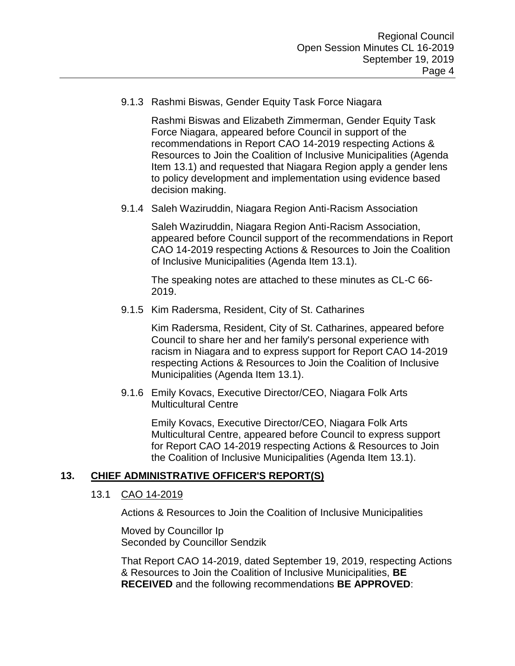9.1.3 Rashmi Biswas, Gender Equity Task Force Niagara

Rashmi Biswas and Elizabeth Zimmerman, Gender Equity Task Force Niagara, appeared before Council in support of the recommendations in Report CAO 14-2019 respecting Actions & Resources to Join the Coalition of Inclusive Municipalities (Agenda Item 13.1) and requested that Niagara Region apply a gender lens to policy development and implementation using evidence based decision making.

9.1.4 Saleh Waziruddin, Niagara Region Anti-Racism Association

Saleh Waziruddin, Niagara Region Anti-Racism Association, appeared before Council support of the recommendations in Report CAO 14-2019 respecting Actions & Resources to Join the Coalition of Inclusive Municipalities (Agenda Item 13.1).

The speaking notes are attached to these minutes as CL-C 66- 2019.

9.1.5 Kim Radersma, Resident, City of St. Catharines

Kim Radersma, Resident, City of St. Catharines, appeared before Council to share her and her family's personal experience with racism in Niagara and to express support for Report CAO 14-2019 respecting Actions & Resources to Join the Coalition of Inclusive Municipalities (Agenda Item 13.1).

9.1.6 Emily Kovacs, Executive Director/CEO, Niagara Folk Arts Multicultural Centre

> Emily Kovacs, Executive Director/CEO, Niagara Folk Arts Multicultural Centre, appeared before Council to express support for Report CAO 14-2019 respecting Actions & Resources to Join the Coalition of Inclusive Municipalities (Agenda Item 13.1).

## **13. CHIEF ADMINISTRATIVE OFFICER'S REPORT(S)**

#### 13.1 CAO 14-2019

Actions & Resources to Join the Coalition of Inclusive Municipalities

Moved by Councillor Ip Seconded by Councillor Sendzik

That Report CAO 14-2019, dated September 19, 2019, respecting Actions & Resources to Join the Coalition of Inclusive Municipalities, **BE RECEIVED** and the following recommendations **BE APPROVED**: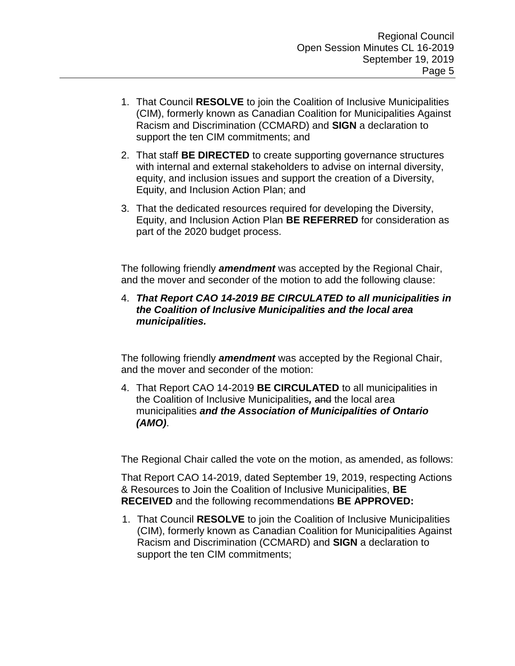- 1. That Council **RESOLVE** to join the Coalition of Inclusive Municipalities (CIM), formerly known as Canadian Coalition for Municipalities Against Racism and Discrimination (CCMARD) and **SIGN** a declaration to support the ten CIM commitments; and
- 2. That staff **BE DIRECTED** to create supporting governance structures with internal and external stakeholders to advise on internal diversity, equity, and inclusion issues and support the creation of a Diversity, Equity, and Inclusion Action Plan; and
- 3. That the dedicated resources required for developing the Diversity, Equity, and Inclusion Action Plan **BE REFERRED** for consideration as part of the 2020 budget process.

The following friendly *amendment* was accepted by the Regional Chair, and the mover and seconder of the motion to add the following clause:

4. *That Report CAO 14-2019 BE CIRCULATED to all municipalities in the Coalition of Inclusive Municipalities and the local area municipalities.* 

The following friendly *amendment* was accepted by the Regional Chair, and the mover and seconder of the motion:

4. That Report CAO 14-2019 **BE CIRCULATED** to all municipalities in the Coalition of Inclusive Municipalities*,* and the local area municipalities *and the Association of Municipalities of Ontario (AMO)*.

The Regional Chair called the vote on the motion, as amended, as follows:

That Report CAO 14-2019, dated September 19, 2019, respecting Actions & Resources to Join the Coalition of Inclusive Municipalities, **BE RECEIVED** and the following recommendations **BE APPROVED:**

1. That Council **RESOLVE** to join the Coalition of Inclusive Municipalities (CIM), formerly known as Canadian Coalition for Municipalities Against Racism and Discrimination (CCMARD) and **SIGN** a declaration to support the ten CIM commitments;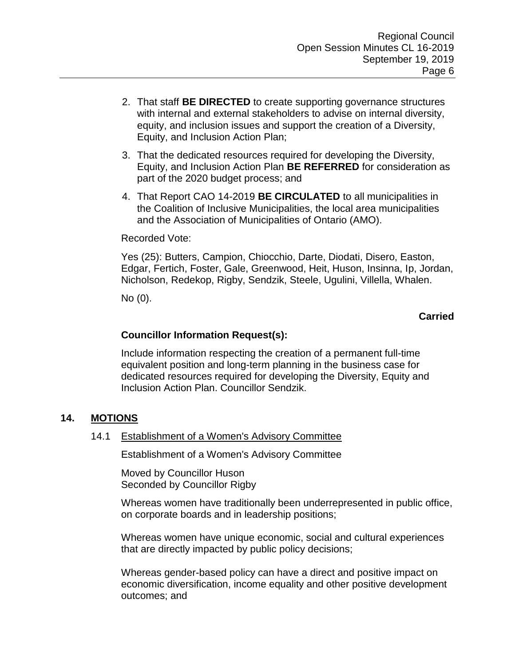- 2. That staff **BE DIRECTED** to create supporting governance structures with internal and external stakeholders to advise on internal diversity, equity, and inclusion issues and support the creation of a Diversity, Equity, and Inclusion Action Plan;
- 3. That the dedicated resources required for developing the Diversity, Equity, and Inclusion Action Plan **BE REFERRED** for consideration as part of the 2020 budget process; and
- 4. That Report CAO 14-2019 **BE CIRCULATED** to all municipalities in the Coalition of Inclusive Municipalities, the local area municipalities and the Association of Municipalities of Ontario (AMO).

#### Recorded Vote:

Yes (25): Butters, Campion, Chiocchio, Darte, Diodati, Disero, Easton, Edgar, Fertich, Foster, Gale, Greenwood, Heit, Huson, Insinna, Ip, Jordan, Nicholson, Redekop, Rigby, Sendzik, Steele, Ugulini, Villella, Whalen.

No (0).

### **Carried**

#### **Councillor Information Request(s):**

Include information respecting the creation of a permanent full-time equivalent position and long-term planning in the business case for dedicated resources required for developing the Diversity, Equity and Inclusion Action Plan. Councillor Sendzik.

## **14. MOTIONS**

14.1 Establishment of a Women's Advisory Committee

Establishment of a Women's Advisory Committee

Moved by Councillor Huson Seconded by Councillor Rigby

Whereas women have traditionally been underrepresented in public office, on corporate boards and in leadership positions;

Whereas women have unique economic, social and cultural experiences that are directly impacted by public policy decisions;

Whereas gender-based policy can have a direct and positive impact on economic diversification, income equality and other positive development outcomes; and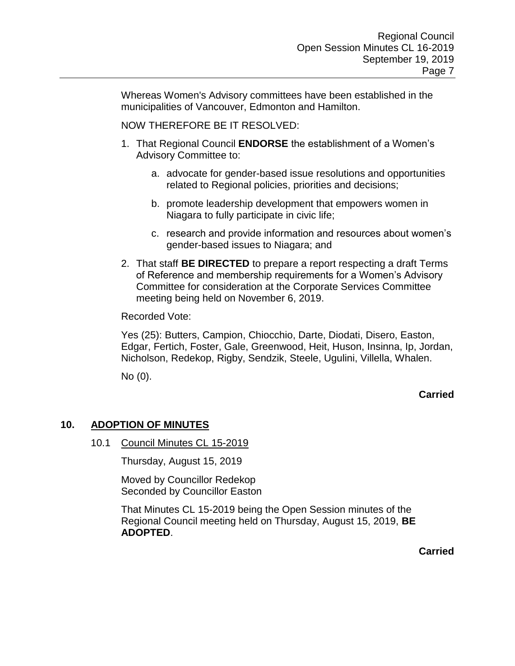Whereas Women's Advisory committees have been established in the municipalities of Vancouver, Edmonton and Hamilton.

NOW THEREFORE BE IT RESOLVED:

- 1. That Regional Council **ENDORSE** the establishment of a Women's Advisory Committee to:
	- a. advocate for gender-based issue resolutions and opportunities related to Regional policies, priorities and decisions;
	- b. promote leadership development that empowers women in Niagara to fully participate in civic life;
	- c. research and provide information and resources about women's gender-based issues to Niagara; and
- 2. That staff **BE DIRECTED** to prepare a report respecting a draft Terms of Reference and membership requirements for a Women's Advisory Committee for consideration at the Corporate Services Committee meeting being held on November 6, 2019.

Recorded Vote:

Yes (25): Butters, Campion, Chiocchio, Darte, Diodati, Disero, Easton, Edgar, Fertich, Foster, Gale, Greenwood, Heit, Huson, Insinna, Ip, Jordan, Nicholson, Redekop, Rigby, Sendzik, Steele, Ugulini, Villella, Whalen.

No (0).

**Carried**

#### **10. ADOPTION OF MINUTES**

10.1 Council Minutes CL 15-2019

Thursday, August 15, 2019

Moved by Councillor Redekop Seconded by Councillor Easton

That Minutes CL 15-2019 being the Open Session minutes of the Regional Council meeting held on Thursday, August 15, 2019, **BE ADOPTED**.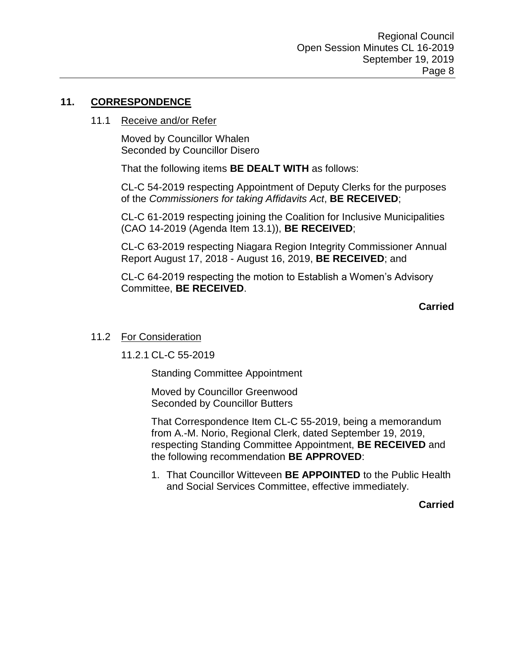### **11. CORRESPONDENCE**

#### 11.1 Receive and/or Refer

Moved by Councillor Whalen Seconded by Councillor Disero

That the following items **BE DEALT WITH** as follows:

CL-C 54-2019 respecting Appointment of Deputy Clerks for the purposes of the *Commissioners for taking Affidavits Act*, **BE RECEIVED**;

CL-C 61-2019 respecting joining the Coalition for Inclusive Municipalities (CAO 14-2019 (Agenda Item 13.1)), **BE RECEIVED**;

CL-C 63-2019 respecting Niagara Region Integrity Commissioner Annual Report August 17, 2018 - August 16, 2019, **BE RECEIVED**; and

CL-C 64-2019 respecting the motion to Establish a Women's Advisory Committee, **BE RECEIVED**.

**Carried**

#### 11.2 For Consideration

11.2.1 CL-C 55-2019

Standing Committee Appointment

Moved by Councillor Greenwood Seconded by Councillor Butters

That Correspondence Item CL-C 55-2019, being a memorandum from A.-M. Norio, Regional Clerk, dated September 19, 2019, respecting Standing Committee Appointment, **BE RECEIVED** and the following recommendation **BE APPROVED**:

1. That Councillor Witteveen **BE APPOINTED** to the Public Health and Social Services Committee, effective immediately.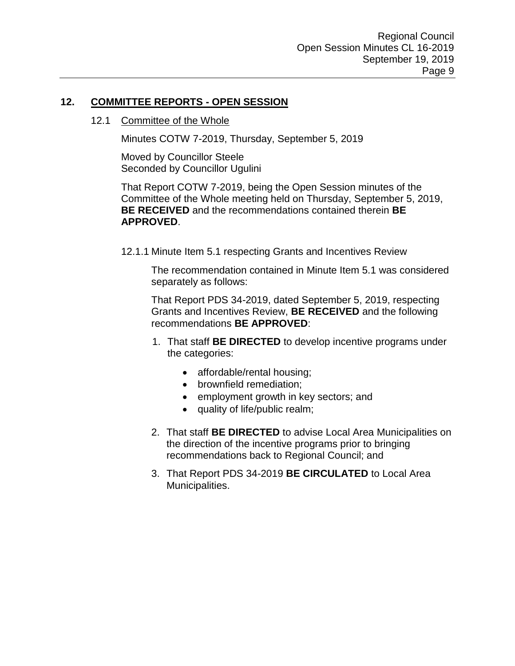### **12. COMMITTEE REPORTS - OPEN SESSION**

#### 12.1 Committee of the Whole

Minutes COTW 7-2019, Thursday, September 5, 2019

Moved by Councillor Steele Seconded by Councillor Ugulini

That Report COTW 7-2019, being the Open Session minutes of the Committee of the Whole meeting held on Thursday, September 5, 2019, **BE RECEIVED** and the recommendations contained therein **BE APPROVED**.

12.1.1 Minute Item 5.1 respecting Grants and Incentives Review

The recommendation contained in Minute Item 5.1 was considered separately as follows:

That Report PDS 34-2019, dated September 5, 2019, respecting Grants and Incentives Review, **BE RECEIVED** and the following recommendations **BE APPROVED**:

- 1. That staff **BE DIRECTED** to develop incentive programs under the categories:
	- affordable/rental housing;
	- brownfield remediation;
	- employment growth in key sectors; and
	- quality of life/public realm;
- 2. That staff **BE DIRECTED** to advise Local Area Municipalities on the direction of the incentive programs prior to bringing recommendations back to Regional Council; and
- 3. That Report PDS 34-2019 **BE CIRCULATED** to Local Area Municipalities.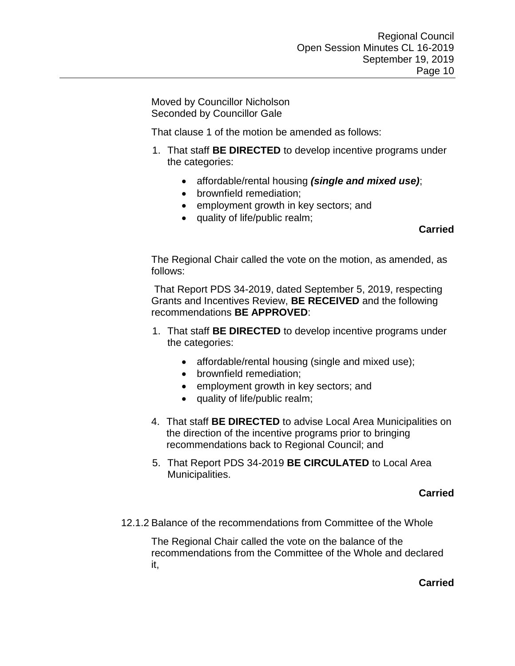Moved by Councillor Nicholson Seconded by Councillor Gale

That clause 1 of the motion be amended as follows:

- 1. That staff **BE DIRECTED** to develop incentive programs under the categories:
	- affordable/rental housing *(single and mixed use)*;
	- brownfield remediation:
	- employment growth in key sectors; and
	- quality of life/public realm;

## **Carried**

The Regional Chair called the vote on the motion, as amended, as follows:

That Report PDS 34-2019, dated September 5, 2019, respecting Grants and Incentives Review, **BE RECEIVED** and the following recommendations **BE APPROVED**:

- 1. That staff **BE DIRECTED** to develop incentive programs under the categories:
	- affordable/rental housing (single and mixed use);
	- brownfield remediation;
	- employment growth in key sectors; and
	- quality of life/public realm;
- 4. That staff **BE DIRECTED** to advise Local Area Municipalities on the direction of the incentive programs prior to bringing recommendations back to Regional Council; and
- 5. That Report PDS 34-2019 **BE CIRCULATED** to Local Area Municipalities.

## **Carried**

12.1.2 Balance of the recommendations from Committee of the Whole

The Regional Chair called the vote on the balance of the recommendations from the Committee of the Whole and declared it,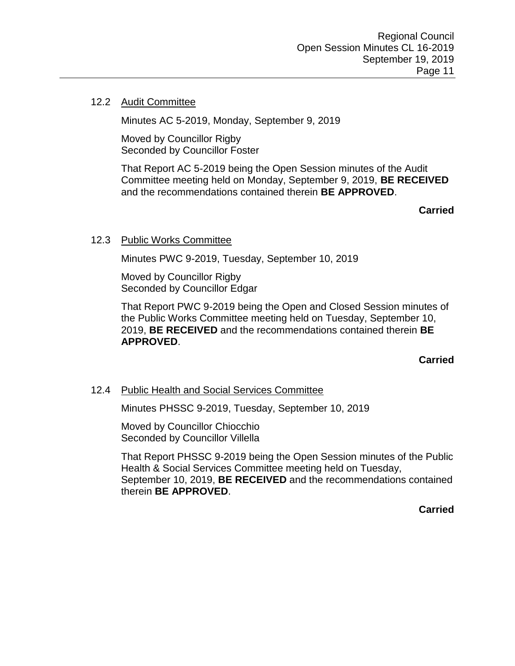#### 12.2 Audit Committee

Minutes AC 5-2019, Monday, September 9, 2019

Moved by Councillor Rigby Seconded by Councillor Foster

That Report AC 5-2019 being the Open Session minutes of the Audit Committee meeting held on Monday, September 9, 2019, **BE RECEIVED**  and the recommendations contained therein **BE APPROVED**.

**Carried**

#### 12.3 Public Works Committee

Minutes PWC 9-2019, Tuesday, September 10, 2019

Moved by Councillor Rigby Seconded by Councillor Edgar

That Report PWC 9-2019 being the Open and Closed Session minutes of the Public Works Committee meeting held on Tuesday, September 10, 2019, **BE RECEIVED** and the recommendations contained therein **BE APPROVED**.

**Carried**

#### 12.4 Public Health and Social Services Committee

Minutes PHSSC 9-2019, Tuesday, September 10, 2019

Moved by Councillor Chiocchio Seconded by Councillor Villella

That Report PHSSC 9-2019 being the Open Session minutes of the Public Health & Social Services Committee meeting held on Tuesday, September 10, 2019, **BE RECEIVED** and the recommendations contained therein **BE APPROVED**.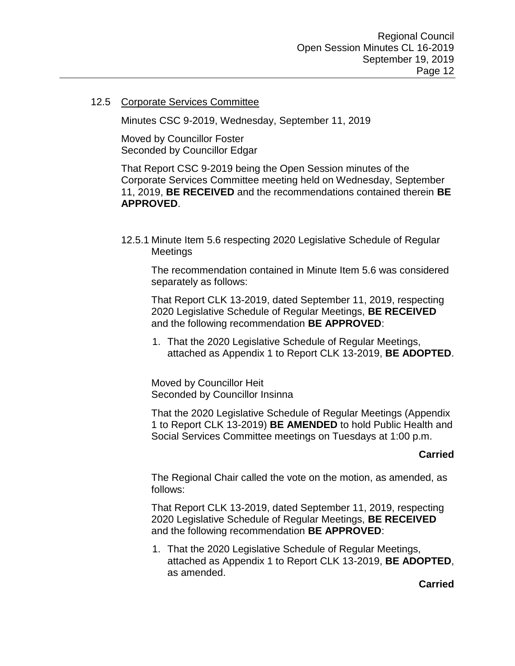#### 12.5 Corporate Services Committee

Minutes CSC 9-2019, Wednesday, September 11, 2019

Moved by Councillor Foster Seconded by Councillor Edgar

That Report CSC 9-2019 being the Open Session minutes of the Corporate Services Committee meeting held on Wednesday, September 11, 2019, **BE RECEIVED** and the recommendations contained therein **BE APPROVED**.

12.5.1 Minute Item 5.6 respecting 2020 Legislative Schedule of Regular Meetings

The recommendation contained in Minute Item 5.6 was considered separately as follows:

That Report CLK 13-2019, dated September 11, 2019, respecting 2020 Legislative Schedule of Regular Meetings, **BE RECEIVED** and the following recommendation **BE APPROVED**:

1. That the 2020 Legislative Schedule of Regular Meetings, attached as Appendix 1 to Report CLK 13-2019, **BE ADOPTED**.

Moved by Councillor Heit Seconded by Councillor Insinna

That the 2020 Legislative Schedule of Regular Meetings (Appendix 1 to Report CLK 13-2019) **BE AMENDED** to hold Public Health and Social Services Committee meetings on Tuesdays at 1:00 p.m.

## **Carried**

The Regional Chair called the vote on the motion, as amended, as follows:

That Report CLK 13-2019, dated September 11, 2019, respecting 2020 Legislative Schedule of Regular Meetings, **BE RECEIVED** and the following recommendation **BE APPROVED**:

1. That the 2020 Legislative Schedule of Regular Meetings, attached as Appendix 1 to Report CLK 13-2019, **BE ADOPTED**, as amended.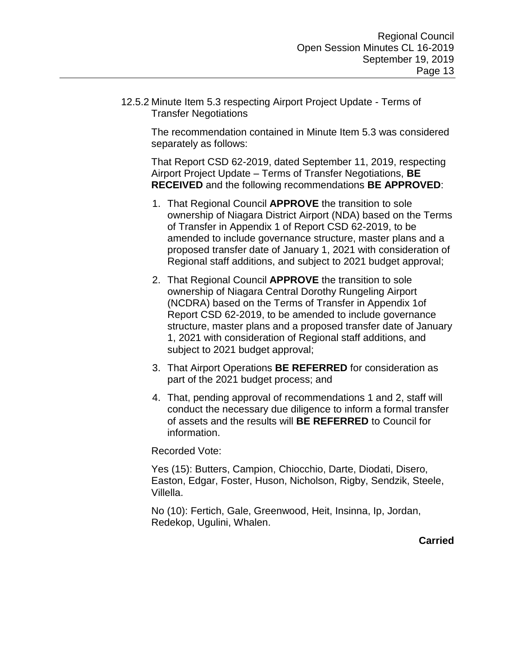12.5.2 Minute Item 5.3 respecting Airport Project Update - Terms of Transfer Negotiations

The recommendation contained in Minute Item 5.3 was considered separately as follows:

That Report CSD 62-2019, dated September 11, 2019, respecting Airport Project Update – Terms of Transfer Negotiations, **BE RECEIVED** and the following recommendations **BE APPROVED**:

- 1. That Regional Council **APPROVE** the transition to sole ownership of Niagara District Airport (NDA) based on the Terms of Transfer in Appendix 1 of Report CSD 62-2019, to be amended to include governance structure, master plans and a proposed transfer date of January 1, 2021 with consideration of Regional staff additions, and subject to 2021 budget approval;
- 2. That Regional Council **APPROVE** the transition to sole ownership of Niagara Central Dorothy Rungeling Airport (NCDRA) based on the Terms of Transfer in Appendix 1of Report CSD 62-2019, to be amended to include governance structure, master plans and a proposed transfer date of January 1, 2021 with consideration of Regional staff additions, and subject to 2021 budget approval;
- 3. That Airport Operations **BE REFERRED** for consideration as part of the 2021 budget process; and
- 4. That, pending approval of recommendations 1 and 2, staff will conduct the necessary due diligence to inform a formal transfer of assets and the results will **BE REFERRED** to Council for information.

Recorded Vote:

Yes (15): Butters, Campion, Chiocchio, Darte, Diodati, Disero, Easton, Edgar, Foster, Huson, Nicholson, Rigby, Sendzik, Steele, Villella.

No (10): Fertich, Gale, Greenwood, Heit, Insinna, Ip, Jordan, Redekop, Ugulini, Whalen.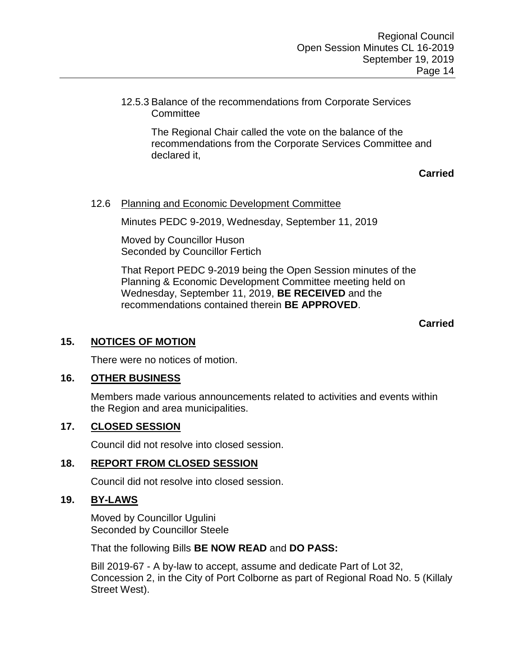12.5.3 Balance of the recommendations from Corporate Services **Committee** 

> The Regional Chair called the vote on the balance of the recommendations from the Corporate Services Committee and declared it,

> > **Carried**

### 12.6 Planning and Economic Development Committee

Minutes PEDC 9-2019, Wednesday, September 11, 2019

Moved by Councillor Huson Seconded by Councillor Fertich

That Report PEDC 9-2019 being the Open Session minutes of the Planning & Economic Development Committee meeting held on Wednesday, September 11, 2019, **BE RECEIVED** and the recommendations contained therein **BE APPROVED**.

#### **Carried**

#### **15. NOTICES OF MOTION**

There were no notices of motion.

#### **16. OTHER BUSINESS**

Members made various announcements related to activities and events within the Region and area municipalities.

#### **17. CLOSED SESSION**

Council did not resolve into closed session.

#### **18. REPORT FROM CLOSED SESSION**

Council did not resolve into closed session.

#### **19. BY-LAWS**

Moved by Councillor Ugulini Seconded by Councillor Steele

That the following Bills **BE NOW READ** and **DO PASS:**

Bill 2019-67 - A by-law to accept, assume and dedicate Part of Lot 32, Concession 2, in the City of Port Colborne as part of Regional Road No. 5 (Killaly Street West).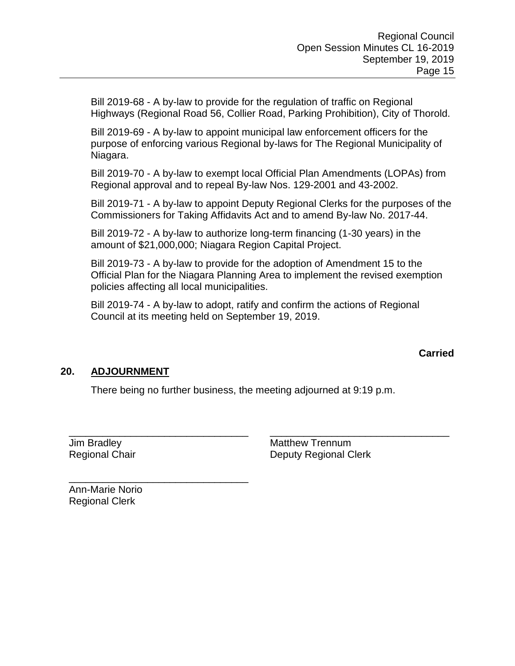Bill 2019-68 - A by-law to provide for the regulation of traffic on Regional Highways (Regional Road 56, Collier Road, Parking Prohibition), City of Thorold.

Bill 2019-69 - A by-law to appoint municipal law enforcement officers for the purpose of enforcing various Regional by-laws for The Regional Municipality of Niagara.

Bill 2019-70 - A by-law to exempt local Official Plan Amendments (LOPAs) from Regional approval and to repeal By-law Nos. 129-2001 and 43-2002.

Bill 2019-71 - A by-law to appoint Deputy Regional Clerks for the purposes of the Commissioners for Taking Affidavits Act and to amend By-law No. 2017-44.

Bill 2019-72 - A by-law to authorize long-term financing (1-30 years) in the amount of \$21,000,000; Niagara Region Capital Project.

Bill 2019-73 - A by-law to provide for the adoption of Amendment 15 to the Official Plan for the Niagara Planning Area to implement the revised exemption policies affecting all local municipalities.

Bill 2019-74 - A by-law to adopt, ratify and confirm the actions of Regional Council at its meeting held on September 19, 2019.

## **Carried**

## **20. ADJOURNMENT**

There being no further business, the meeting adjourned at 9:19 p.m.

\_\_\_\_\_\_\_\_\_\_\_\_\_\_\_\_\_\_\_\_\_\_\_\_\_\_\_\_\_\_\_\_ \_\_\_\_\_\_\_\_\_\_\_\_\_\_\_\_\_\_\_\_\_\_\_\_\_\_\_\_\_\_\_\_ Jim Bradley Regional Chair

Matthew Trennum Deputy Regional Clerk

Ann-Marie Norio Regional Clerk

\_\_\_\_\_\_\_\_\_\_\_\_\_\_\_\_\_\_\_\_\_\_\_\_\_\_\_\_\_\_\_\_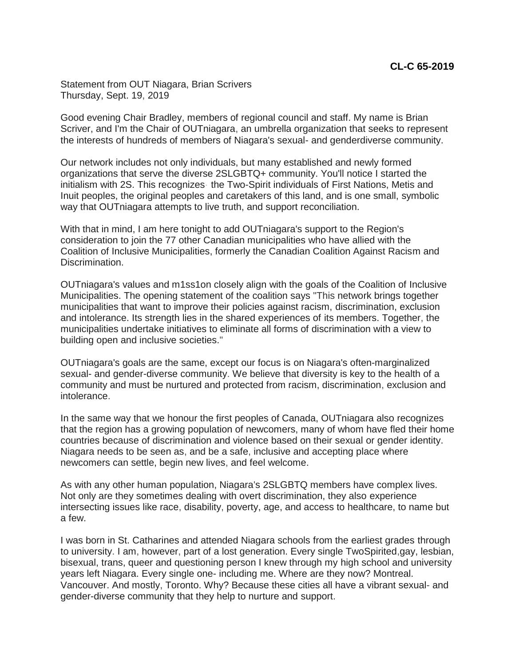Statement from OUT Niagara, Brian Scrivers Thursday, Sept. 19, 2019

Good evening Chair Bradley, members of regional council and staff. My name is Brian Scriver, and I'm the Chair of OUTniagara, an umbrella organization that seeks to represent the interests of hundreds of members of Niagara's sexual- and genderdiverse community.

Our network includes not only individuals, but many established and newly formed organizations that serve the diverse 2SLGBTQ+ community. You'll notice I started the initialism with 2S. This recognizes· the Two-Spirit individuals of First Nations, Metis and Inuit peoples, the original peoples and caretakers of this land, and is one small, symbolic way that OUTniagara attempts to live truth, and support reconciliation.

With that in mind, I am here tonight to add OUTniagara's support to the Region's consideration to join the 77 other Canadian municipalities who have allied with the Coalition of Inclusive Municipalities, formerly the Canadian Coalition Against Racism and Discrimination.

OUTniagara's values and m1ss1on closely align with the goals of the Coalition of Inclusive Municipalities. The opening statement of the coalition says "This network brings together municipalities that want to improve their policies against racism, discrimination, exclusion and intolerance. Its strength lies in the shared experiences of its members. Together, the municipalities undertake initiatives to eliminate all forms of discrimination with a view to building open and inclusive societies."

OUTniagara's goals are the same, except our focus is on Niagara's often-marginalized sexual- and gender-diverse community. We believe that diversity is key to the health of a community and must be nurtured and protected from racism, discrimination, exclusion and intolerance.

In the same way that we honour the first peoples of Canada, OUTniagara also recognizes that the region has a growing population of newcomers, many of whom have fled their home countries because of discrimination and violence based on their sexual or gender identity. Niagara needs to be seen as, and be a safe, inclusive and accepting place where newcomers can settle, begin new lives, and feel welcome.

As with any other human population, Niagara's 2SLGBTQ members have complex lives. Not only are they sometimes dealing with overt discrimination, they also experience intersecting issues like race, disability, poverty, age, and access to healthcare, to name but a few.

I was born in St. Catharines and attended Niagara schools from the earliest grades through to university. I am, however, part of a lost generation. Every single TwoSpirited,gay, lesbian, bisexual, trans, queer and questioning person I knew through my high school and university years left Niagara. Every single one- including me. Where are they now? Montreal. Vancouver. And mostly, Toronto. Why? Because these cities all have a vibrant sexual- and gender-diverse community that they help to nurture and support.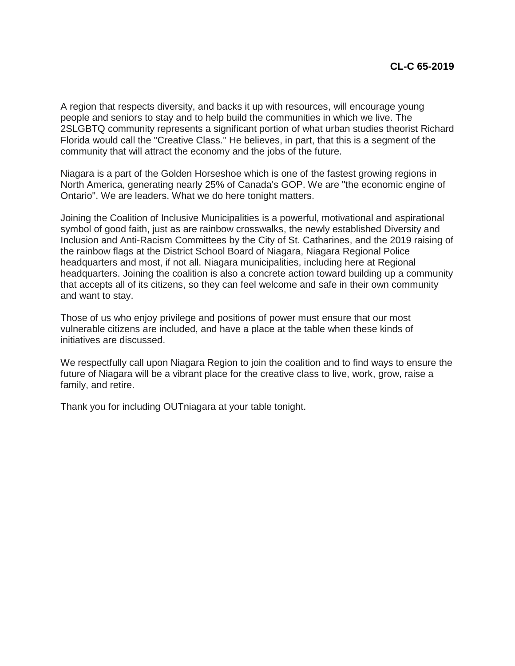A region that respects diversity, and backs it up with resources, will encourage young people and seniors to stay and to help build the communities in which we live. The 2SLGBTQ community represents a significant portion of what urban studies theorist Richard Florida would call the "Creative Class." He believes, in part, that this is a segment of the community that will attract the economy and the jobs of the future.

Niagara is a part of the Golden Horseshoe which is one of the fastest growing regions in North America, generating nearly 25% of Canada's GOP. We are "the economic engine of Ontario". We are leaders. What we do here tonight matters.

Joining the Coalition of Inclusive Municipalities is a powerful, motivational and aspirational symbol of good faith, just as are rainbow crosswalks, the newly established Diversity and Inclusion and Anti-Racism Committees by the City of St. Catharines, and the 2019 raising of the rainbow flags at the District School Board of Niagara, Niagara Regional Police headquarters and most, if not all. Niagara municipalities, including here at Regional headquarters. Joining the coalition is also a concrete action toward building up a community that accepts all of its citizens, so they can feel welcome and safe in their own community and want to stay.

Those of us who enjoy privilege and positions of power must ensure that our most vulnerable citizens are included, and have a place at the table when these kinds of initiatives are discussed.

We respectfully call upon Niagara Region to join the coalition and to find ways to ensure the future of Niagara will be a vibrant place for the creative class to live, work, grow, raise a family, and retire.

Thank you for including OUTniagara at your table tonight.